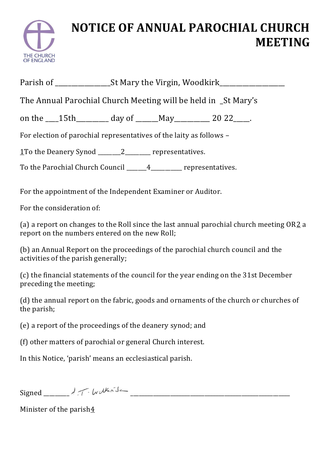

## **NOTICE OF ANNUAL PAROCHIAL CHURCH MEETING**

| The Annual Parochial Church Meeting will be held in _St Mary's            |  |  |  |
|---------------------------------------------------------------------------|--|--|--|
| on the $\_\_$ 15th $\_\_$ day of $\_\_$ May $\_\_$ 20 22 $\_\_$ .         |  |  |  |
| For election of parochial representatives of the laity as follows -       |  |  |  |
| <u>1</u> To the Deanery Synod _______________________ representatives.    |  |  |  |
| To the Parochial Church Council ________________________ representatives. |  |  |  |
|                                                                           |  |  |  |

For the appointment of the Independent Examiner or Auditor.

For the consideration of:

(a) a report on changes to the Roll since the last annual parochial church meeting  $OR2a$  $OR2a$  $OR2a$ report on the numbers entered on the new Roll;

(b) an Annual Report on the proceedings of the parochial church council and the activities of the parish generally;

(c) the financial statements of the council for the year ending on the 31st December preceding the meeting;

(d) the annual report on the fabric, goods and ornaments of the church or churches of the parish;

(e) a report of the proceedings of the deanery synod; and

(f) other matters of parochial or general Church interest.

In this Notice, 'parish' means an ecclesiastical parish.

 $Signed$ 

Minister of the paris[h4](https://www.churchofengland.org/more/policy-and-thinking/church-representation-rules/church-representation-rules-online-part-10#rfns10)